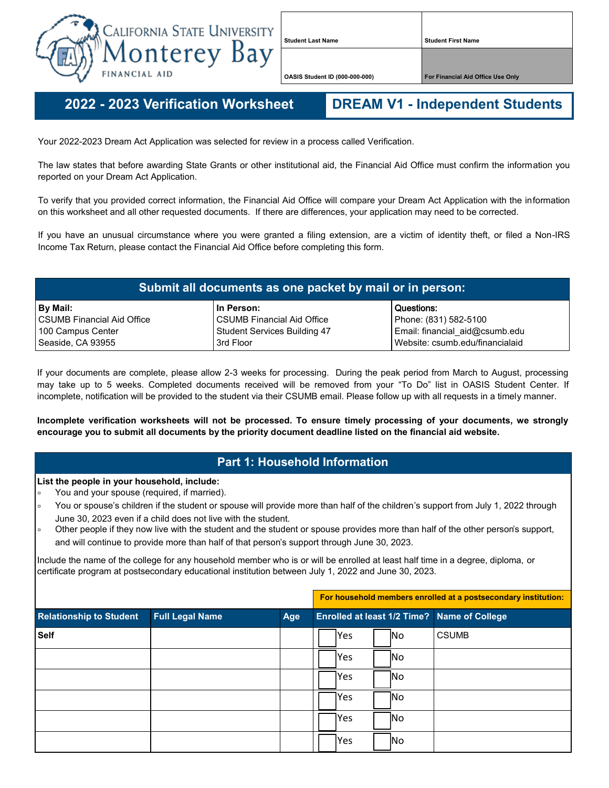

**Student Last Name Student First Name**

**OASIS Student ID (000-000-000) For Financial Aid Office Use Only**

**2022 - - 2023 Verification Worksheet DREAM V1 - Independent Students**

Your 2022-2023 Dream Act Application was selected for review in a process called Verification.

The law states that before awarding State Grants or other institutional aid, the Financial Aid Office must confirm the information you reported on your Dream Act Application.

To verify that you provided correct information, the Financial Aid Office will compare your Dream Act Application with the information on this worksheet and all other requested documents. If there are differences, your application may need to be corrected.

If you have an unusual circumstance where you were granted a filing extension, are a victim of identity theft, or filed a Non-IRS Income Tax Return, please contact the Financial Aid Office before completing this form.

| Submit all documents as one packet by mail or in person: |                                     |                                 |  |  |
|----------------------------------------------------------|-------------------------------------|---------------------------------|--|--|
| By Mail:                                                 | In Person:                          | Questions:                      |  |  |
| <b>CSUMB Financial Aid Office</b>                        | <b>CSUMB Financial Aid Office</b>   | Phone: (831) 582-5100           |  |  |
| 100 Campus Center                                        | <b>Student Services Building 47</b> | Email: financial_aid@csumb.edu  |  |  |
| Seaside, CA 93955                                        | 3rd Floor                           | Website: csumb.edu/financialaid |  |  |

If your documents are complete, please allow 2-3 weeks for processing. During the peak period from March to August, processing may take up to 5 weeks. Completed documents received will be removed from your "To Do" list in OASIS Student Center. If incomplete, notification will be provided to the student via their CSUMB email. Please follow up with all requests in a timely manner.

**Incomplete verification worksheets will not be processed. To ensure timely processing of your documents, we strongly encourage you to submit all documents by the priority document deadline listed on the financial aid website.**

## **Part 1: Household Information**

## **List the people in your household, include:**

- You and your spouse (required, if married).
- You or spouse's children if the student or spouse will provide more than half of the children's support from July 1, 2022 through June 30, 2023 even if a child does not live with the student.
- Other people if they now live with the student and the student or spouse provides more than half of the other person's support, and will continue to provide more than half of that person's support through June 30, 2023.

Include the name of the college for any household member who is or will be enrolled at least half time in a degree, diploma, or certificate program at postsecondary educational institution between July 1, 2022 and June 30, 2023.

|                                |                        | For household members enrolled at a postsecondary institution: |                                             |  |
|--------------------------------|------------------------|----------------------------------------------------------------|---------------------------------------------|--|
| <b>Relationship to Student</b> | <b>Full Legal Name</b> | Age                                                            | Enrolled at least 1/2 Time? Name of College |  |
| <b>Self</b>                    |                        |                                                                | <b>CSUMB</b><br><b>Yes</b><br>lNo.          |  |
|                                |                        |                                                                | <b>Yes</b><br> No                           |  |
|                                |                        |                                                                | <b>P</b> es<br><b>INo</b>                   |  |
|                                |                        |                                                                | lNo<br><b>Yes</b>                           |  |
|                                |                        |                                                                | <b>Yes</b><br>lNo.                          |  |
|                                |                        |                                                                | <b>Yes</b><br> No                           |  |